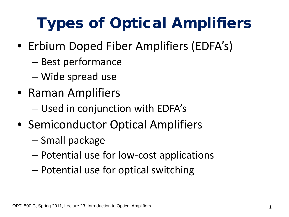# Types of Optical Amplifiers

- Erbium Doped Fiber Amplifiers (EDFA's)
	- Best performance
	- Wide spread use
- Raman Amplifiers
	- Used in conjunction with EDFA's
- Semiconductor Optical Amplifiers
	- Small package
	- Potential use for low-cost applications
	- Potential use for optical switching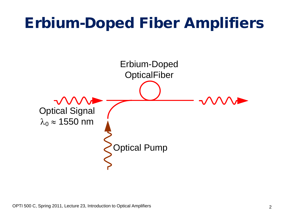## Erbium-Doped Fiber Amplifiers

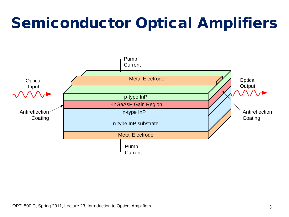## Semiconductor Optical Amplifiers

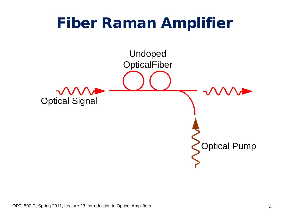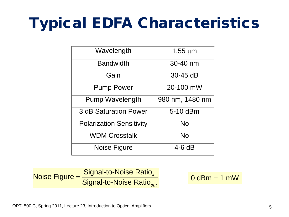# Typical EDFA Characteristics

| Wavelength                                | $1.55 \mu m$ |  |
|-------------------------------------------|--------------|--|
| <b>Bandwidth</b>                          | 30-40 nm     |  |
| Gain                                      | $30-45$ dB   |  |
| 20-100 mW<br><b>Pump Power</b>            |              |  |
| <b>Pump Wavelength</b><br>980 nm, 1480 nm |              |  |
| <b>3 dB Saturation Power</b>              | 5-10 dBm     |  |
| <b>Polarization Sensitivity</b><br>No     |              |  |
| <b>WDM Crosstalk</b>                      | No           |  |
| Noise Figure                              | $4-6dB$      |  |

Noise Figure = Signal-to-Noise Ratio<br>Signal-to-Noise Ratio *in out*  $=\frac{9 \text{ g}}{\text{Signal to Noise Ratio}_{in}}$  0 dBm = 1 mW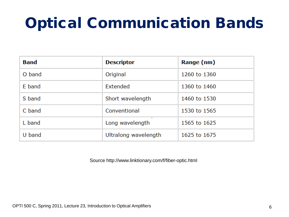## Optical Communication Bands

| <b>Band</b> | <b>Descriptor</b>    | Range (nm)   |
|-------------|----------------------|--------------|
| O band      | Original             | 1260 to 1360 |
| E band      | Extended             | 1360 to 1460 |
| S band      | Short wavelength     | 1460 to 1530 |
| C band      | Conventional         | 1530 to 1565 |
| L band      | Long wavelength      | 1565 to 1625 |
| U band      | Ultralong wavelength | 1625 to 1675 |

Source http://www.linktionary.com/f/fiber-optic.html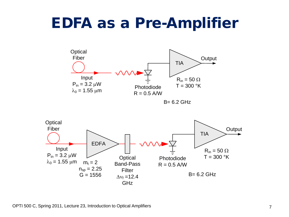### EDFA as a Pre-Amplifier



B= 6.2 GHz

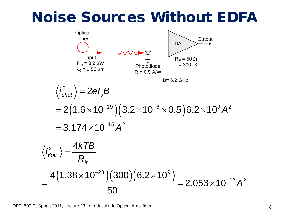#### Noise Sources Without EDFA



OPTI 500 C, Spring 2011, Lecture 23, Introduction to Optical Amplifiers 8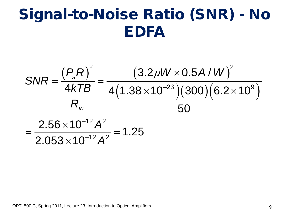## Signal-to-Noise Ratio (SNR) - No EDFA

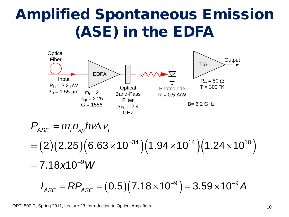## Amplified Spontaneous Emission (ASE) in the EDFA



$$
P_{ASE} = m_t n_{sp} h v \Delta v_t
$$
  
= (2)(2.25)(6.63×10<sup>-34</sup>)(1.94×10<sup>14</sup>)(1.24×10<sup>10</sup>)  
= 7.18×10<sup>-9</sup> W

$$
I_{\text{ASE}} = RP_{\text{ASE}} = (0.5)(7.18 \times 10^{-9}) = 3.59 \times 10^{-9} A
$$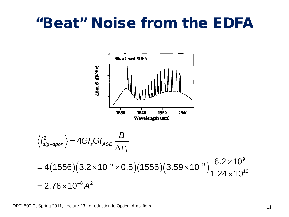#### "Beat" Noise from the EDFA